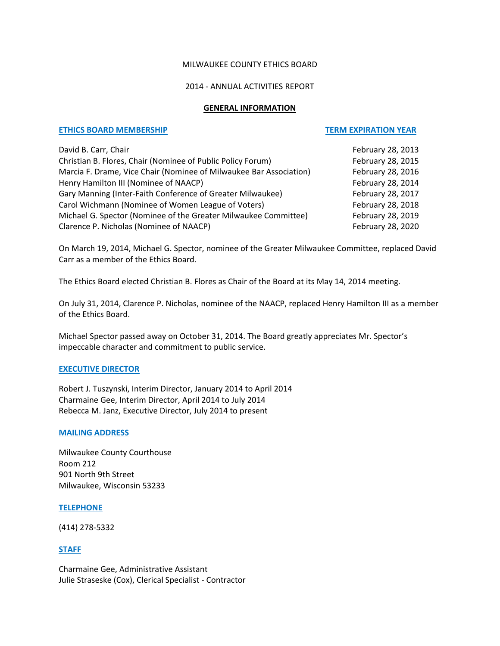# MILWAUKEE COUNTY ETHICS BOARD

## 2014 ‐ ANNUAL ACTIVITIES REPORT

#### **GENERAL INFORMATION**

# **ETHICS BOARD MEMBERSHIP TERM EXPIRATION YEAR**

| David B. Carr, Chair                                               | February 28, 2013 |
|--------------------------------------------------------------------|-------------------|
| Christian B. Flores, Chair (Nominee of Public Policy Forum)        | February 28, 2015 |
| Marcia F. Drame, Vice Chair (Nominee of Milwaukee Bar Association) | February 28, 2016 |
| Henry Hamilton III (Nominee of NAACP)                              | February 28, 2014 |
| Gary Manning (Inter-Faith Conference of Greater Milwaukee)         | February 28, 2017 |
| Carol Wichmann (Nominee of Women League of Voters)                 | February 28, 2018 |
| Michael G. Spector (Nominee of the Greater Milwaukee Committee)    | February 28, 2019 |
| Clarence P. Nicholas (Nominee of NAACP)                            | February 28, 2020 |

On March 19, 2014, Michael G. Spector, nominee of the Greater Milwaukee Committee, replaced David Carr as a member of the Ethics Board.

The Ethics Board elected Christian B. Flores as Chair of the Board at its May 14, 2014 meeting.

On July 31, 2014, Clarence P. Nicholas, nominee of the NAACP, replaced Henry Hamilton III as a member of the Ethics Board.

Michael Spector passed away on October 31, 2014. The Board greatly appreciates Mr. Spector's impeccable character and commitment to public service.

#### **EXECUTIVE DIRECTOR**

Robert J. Tuszynski, Interim Director, January 2014 to April 2014 Charmaine Gee, Interim Director, April 2014 to July 2014 Rebecca M. Janz, Executive Director, July 2014 to present

#### **MAILING ADDRESS**

Milwaukee County Courthouse Room 212 901 North 9th Street Milwaukee, Wisconsin 53233

#### **TELEPHONE**

(414) 278‐5332

# **STAFF**

Charmaine Gee, Administrative Assistant Julie Straseske (Cox), Clerical Specialist ‐ Contractor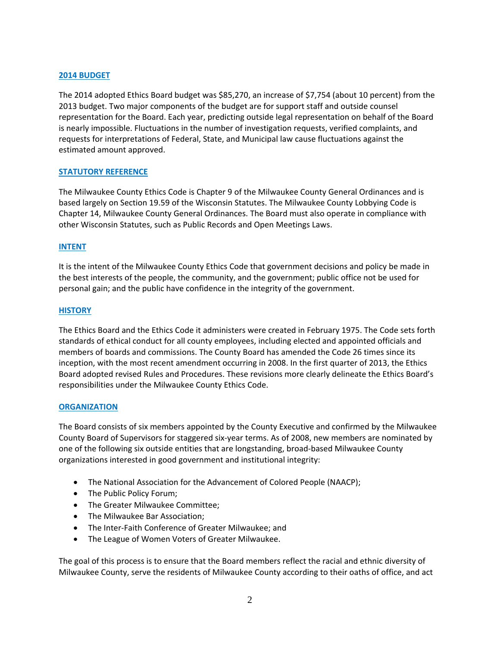# **2014 BUDGET**

The 2014 adopted Ethics Board budget was \$85,270, an increase of \$7,754 (about 10 percent) from the 2013 budget. Two major components of the budget are for support staff and outside counsel representation for the Board. Each year, predicting outside legal representation on behalf of the Board is nearly impossible. Fluctuations in the number of investigation requests, verified complaints, and requests for interpretations of Federal, State, and Municipal law cause fluctuations against the estimated amount approved.

# **STATUTORY REFERENCE**

The Milwaukee County Ethics Code is Chapter 9 of the Milwaukee County General Ordinances and is based largely on Section 19.59 of the Wisconsin Statutes. The Milwaukee County Lobbying Code is Chapter 14, Milwaukee County General Ordinances. The Board must also operate in compliance with other Wisconsin Statutes, such as Public Records and Open Meetings Laws.

# **INTENT**

It is the intent of the Milwaukee County Ethics Code that government decisions and policy be made in the best interests of the people, the community, and the government; public office not be used for personal gain; and the public have confidence in the integrity of the government.

# **HISTORY**

The Ethics Board and the Ethics Code it administers were created in February 1975. The Code sets forth standards of ethical conduct for all county employees, including elected and appointed officials and members of boards and commissions. The County Board has amended the Code 26 times since its inception, with the most recent amendment occurring in 2008. In the first quarter of 2013, the Ethics Board adopted revised Rules and Procedures. These revisions more clearly delineate the Ethics Board's responsibilities under the Milwaukee County Ethics Code.

#### **ORGANIZATION**

The Board consists of six members appointed by the County Executive and confirmed by the Milwaukee County Board of Supervisors for staggered six‐year terms. As of 2008, new members are nominated by one of the following six outside entities that are longstanding, broad‐based Milwaukee County organizations interested in good government and institutional integrity:

- The National Association for the Advancement of Colored People (NAACP);
- The Public Policy Forum;
- The Greater Milwaukee Committee;
- The Milwaukee Bar Association;
- The Inter‐Faith Conference of Greater Milwaukee; and
- The League of Women Voters of Greater Milwaukee.

The goal of this process is to ensure that the Board members reflect the racial and ethnic diversity of Milwaukee County, serve the residents of Milwaukee County according to their oaths of office, and act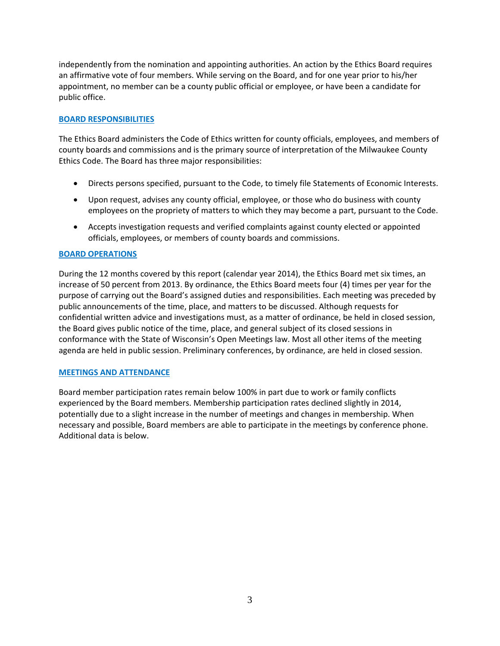independently from the nomination and appointing authorities. An action by the Ethics Board requires an affirmative vote of four members. While serving on the Board, and for one year prior to his/her appointment, no member can be a county public official or employee, or have been a candidate for public office.

# **BOARD RESPONSIBILITIES**

The Ethics Board administers the Code of Ethics written for county officials, employees, and members of county boards and commissions and is the primary source of interpretation of the Milwaukee County Ethics Code. The Board has three major responsibilities:

- Directs persons specified, pursuant to the Code, to timely file Statements of Economic Interests.
- Upon request, advises any county official, employee, or those who do business with county employees on the propriety of matters to which they may become a part, pursuant to the Code.
- Accepts investigation requests and verified complaints against county elected or appointed officials, employees, or members of county boards and commissions.

# **BOARD OPERATIONS**

During the 12 months covered by this report (calendar year 2014), the Ethics Board met six times, an increase of 50 percent from 2013. By ordinance, the Ethics Board meets four (4) times per year for the purpose of carrying out the Board's assigned duties and responsibilities. Each meeting was preceded by public announcements of the time, place, and matters to be discussed. Although requests for confidential written advice and investigations must, as a matter of ordinance, be held in closed session, the Board gives public notice of the time, place, and general subject of its closed sessions in conformance with the State of Wisconsin's Open Meetings law. Most all other items of the meeting agenda are held in public session. Preliminary conferences, by ordinance, are held in closed session.

# **MEETINGS AND ATTENDANCE**

Board member participation rates remain below 100% in part due to work or family conflicts experienced by the Board members. Membership participation rates declined slightly in 2014, potentially due to a slight increase in the number of meetings and changes in membership. When necessary and possible, Board members are able to participate in the meetings by conference phone. Additional data is below.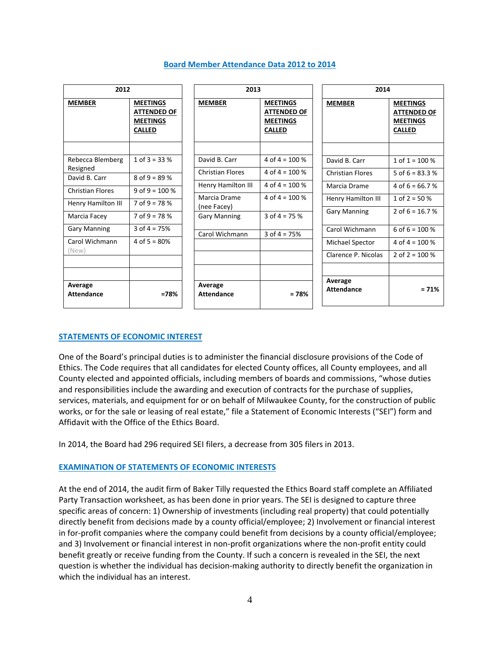| 2012                         |                                                                           | 2013                         |                                                                           | 2014                         |                                                                           |
|------------------------------|---------------------------------------------------------------------------|------------------------------|---------------------------------------------------------------------------|------------------------------|---------------------------------------------------------------------------|
| <b>MEMBER</b>                | <b>MEETINGS</b><br><b>ATTENDED OF</b><br><b>MEETINGS</b><br><b>CALLED</b> | <b>MEMBER</b>                | <b>MEETINGS</b><br><b>ATTENDED OF</b><br><b>MEETINGS</b><br><b>CALLED</b> | <b>MEMBER</b>                | <b>MEETINGS</b><br><b>ATTENDED OF</b><br><b>MEETINGS</b><br><b>CALLED</b> |
| Rebecca Blemberg             | 1 of $3 = 33%$                                                            | David B. Carr                | 4 of $4 = 100\%$                                                          | David B. Carr                | 1 of $1 = 100\%$                                                          |
| Resigned<br>David B. Carr    | $8$ of 9 = 89 %                                                           | <b>Christian Flores</b>      | 4 of $4 = 100\%$                                                          | <b>Christian Flores</b>      | 5 of $6 = 83.3$ %                                                         |
| <b>Christian Flores</b>      | 9 of $9 = 100 %$                                                          | Henry Hamilton III           | 4 of $4 = 100\%$                                                          | Marcia Drame                 | 4 of 6 = 66.7 %                                                           |
| Henry Hamilton III           | $7$ of 9 = 78 %                                                           | Marcia Drame<br>(nee Facey)  | 4 of $4 = 100\%$                                                          | Henry Hamilton III           | 1 of $2 = 50\%$                                                           |
| Marcia Facey                 | $7$ of 9 = 78 %                                                           | <b>Gary Manning</b>          | 3 of $4 = 75%$                                                            | <b>Gary Manning</b>          | 2 of $6 = 16.7$ %                                                         |
| <b>Gary Manning</b>          | 3 of $4 = 75%$                                                            | Carol Wichmann               | 3 of $4 = 75%$                                                            | Carol Wichmann               | 6 of $6 = 100\%$                                                          |
| Carol Wichmann               | 4 of $5 = 80%$                                                            |                              |                                                                           | Michael Spector              | 4 of $4 = 100\%$                                                          |
| (New)                        |                                                                           |                              |                                                                           | Clarence P. Nicolas          | 2 of $2 = 100\%$                                                          |
|                              |                                                                           |                              |                                                                           |                              |                                                                           |
| Average<br><b>Attendance</b> | $=78%$                                                                    | Average<br><b>Attendance</b> | $= 78%$                                                                   | Average<br><b>Attendance</b> | $= 71%$                                                                   |

# **Board Member Attendance Data 2012 to 2014**

# **STATEMENTS OF ECONOMIC INTEREST**

One of the Board's principal duties is to administer the financial disclosure provisions of the Code of Ethics. The Code requires that all candidates for elected County offices, all County employees, and all County elected and appointed officials, including members of boards and commissions, "whose duties and responsibilities include the awarding and execution of contracts for the purchase of supplies, services, materials, and equipment for or on behalf of Milwaukee County, for the construction of public works, or for the sale or leasing of real estate," file a Statement of Economic Interests ("SEI") form and Affidavit with the Office of the Ethics Board.

In 2014, the Board had 296 required SEI filers, a decrease from 305 filers in 2013.

#### **EXAMINATION OF STATEMENTS OF ECONOMIC INTERESTS**

At the end of 2014, the audit firm of Baker Tilly requested the Ethics Board staff complete an Affiliated Party Transaction worksheet, as has been done in prior years. The SEI is designed to capture three specific areas of concern: 1) Ownership of investments (including real property) that could potentially directly benefit from decisions made by a county official/employee; 2) Involvement or financial interest in for-profit companies where the company could benefit from decisions by a county official/employee; and 3) Involvement or financial interest in non‐profit organizations where the non‐profit entity could benefit greatly or receive funding from the County. If such a concern is revealed in the SEI, the next question is whether the individual has decision‐making authority to directly benefit the organization in which the individual has an interest.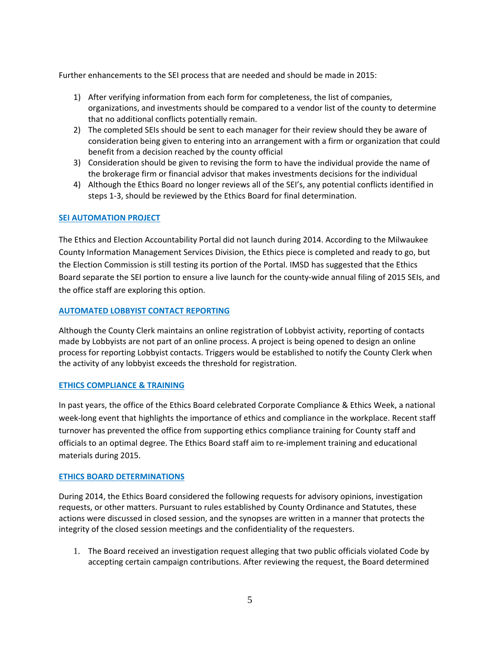Further enhancements to the SEI process that are needed and should be made in 2015:

- 1) After verifying information from each form for completeness, the list of companies, organizations, and investments should be compared to a vendor list of the county to determine that no additional conflicts potentially remain.
- 2) The completed SEIs should be sent to each manager for their review should they be aware of consideration being given to entering into an arrangement with a firm or organization that could benefit from a decision reached by the county official
- 3) Consideration should be given to revising the form to have the individual provide the name of the brokerage firm or financial advisor that makes investments decisions for the individual
- 4) Although the Ethics Board no longer reviews all of the SEI's, any potential conflicts identified in steps 1‐3, should be reviewed by the Ethics Board for final determination.

# **SEI AUTOMATION PROJECT**

The Ethics and Election Accountability Portal did not launch during 2014. According to the Milwaukee County Information Management Services Division, the Ethics piece is completed and ready to go, but the Election Commission is still testing its portion of the Portal. IMSD has suggested that the Ethics Board separate the SEI portion to ensure a live launch for the county‐wide annual filing of 2015 SEIs, and the office staff are exploring this option.

# **AUTOMATED LOBBYIST CONTACT REPORTING**

Although the County Clerk maintains an online registration of Lobbyist activity, reporting of contacts made by Lobbyists are not part of an online process. A project is being opened to design an online process for reporting Lobbyist contacts. Triggers would be established to notify the County Clerk when the activity of any lobbyist exceeds the threshold for registration.

#### **ETHICS COMPLIANCE & TRAINING**

In past years, the office of the Ethics Board celebrated Corporate Compliance & Ethics Week, a national week-long event that highlights the importance of ethics and compliance in the workplace. Recent staff turnover has prevented the office from supporting ethics compliance training for County staff and officials to an optimal degree. The Ethics Board staff aim to re‐implement training and educational materials during 2015.

#### **ETHICS BOARD DETERMINATIONS**

During 2014, the Ethics Board considered the following requests for advisory opinions, investigation requests, or other matters. Pursuant to rules established by County Ordinance and Statutes, these actions were discussed in closed session, and the synopses are written in a manner that protects the integrity of the closed session meetings and the confidentiality of the requesters.

1. The Board received an investigation request alleging that two public officials violated Code by accepting certain campaign contributions. After reviewing the request, the Board determined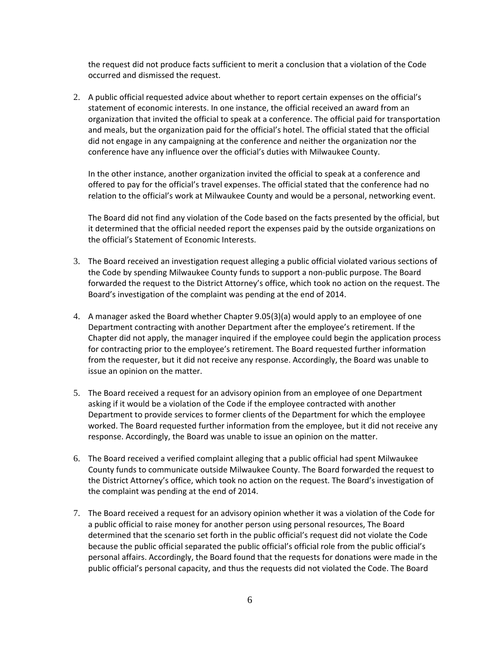the request did not produce facts sufficient to merit a conclusion that a violation of the Code occurred and dismissed the request.

2. A public official requested advice about whether to report certain expenses on the official's statement of economic interests. In one instance, the official received an award from an organization that invited the official to speak at a conference. The official paid for transportation and meals, but the organization paid for the official's hotel. The official stated that the official did not engage in any campaigning at the conference and neither the organization nor the conference have any influence over the official's duties with Milwaukee County.

In the other instance, another organization invited the official to speak at a conference and offered to pay for the official's travel expenses. The official stated that the conference had no relation to the official's work at Milwaukee County and would be a personal, networking event.

The Board did not find any violation of the Code based on the facts presented by the official, but it determined that the official needed report the expenses paid by the outside organizations on the official's Statement of Economic Interests.

- 3. The Board received an investigation request alleging a public official violated various sections of the Code by spending Milwaukee County funds to support a non‐public purpose. The Board forwarded the request to the District Attorney's office, which took no action on the request. The Board's investigation of the complaint was pending at the end of 2014.
- 4. A manager asked the Board whether Chapter 9.05(3)(a) would apply to an employee of one Department contracting with another Department after the employee's retirement. If the Chapter did not apply, the manager inquired if the employee could begin the application process for contracting prior to the employee's retirement. The Board requested further information from the requester, but it did not receive any response. Accordingly, the Board was unable to issue an opinion on the matter.
- 5. The Board received a request for an advisory opinion from an employee of one Department asking if it would be a violation of the Code if the employee contracted with another Department to provide services to former clients of the Department for which the employee worked. The Board requested further information from the employee, but it did not receive any response. Accordingly, the Board was unable to issue an opinion on the matter.
- 6. The Board received a verified complaint alleging that a public official had spent Milwaukee County funds to communicate outside Milwaukee County. The Board forwarded the request to the District Attorney's office, which took no action on the request. The Board's investigation of the complaint was pending at the end of 2014.
- 7. The Board received a request for an advisory opinion whether it was a violation of the Code for a public official to raise money for another person using personal resources, The Board determined that the scenario set forth in the public official's request did not violate the Code because the public official separated the public official's official role from the public official's personal affairs. Accordingly, the Board found that the requests for donations were made in the public official's personal capacity, and thus the requests did not violated the Code. The Board